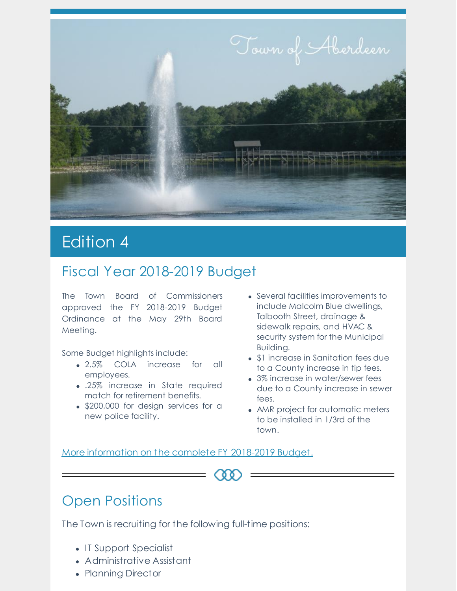

# Edition 4

#### Fiscal Year 2018-2019 Budget

The Town Board of Commissioners approved the FY 2018-2019 Budget Ordinance at the May 29th Board Meeting.

Some Budget highlights include:

- 2.5% COLA increase for all employees.
- .25% increase in State required match for retirement benefits.
- \$200,000 for design services for a new police facility.
- Several facilities improvements to include Malcolm Blue dwellings, Talbooth Street, drainage & sidewalk repairs, and HVAC & security system for the Municipal Building.
- \$1 increase in Sanitation fees due to a County increase in tip fees.
- 3% increase in water/sewer fees due to a County increase in sewer fees.
- AMR project for automatic meters to be installed in 1/3rd of the town.

More information on the complete FY 2018-2019 Budget.

### Open Positions

The Town is recruiting for the following full-time positions:

- IT Support Specialist
- Administrative Assistant
- Planning Director